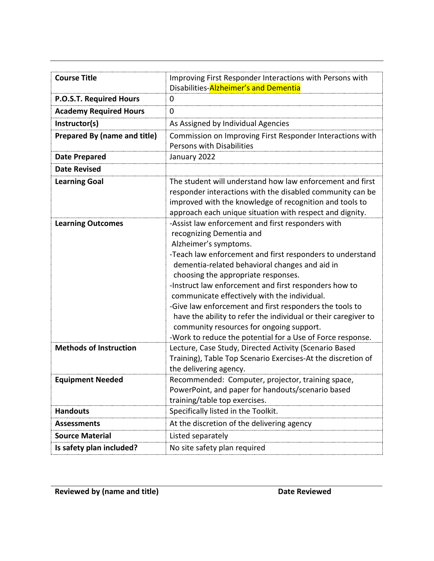| <b>Course Title</b>           | Improving First Responder Interactions with Persons with                                                                                                                                                                                                                                                                                                                                                                                                                                                                                                                                                     |
|-------------------------------|--------------------------------------------------------------------------------------------------------------------------------------------------------------------------------------------------------------------------------------------------------------------------------------------------------------------------------------------------------------------------------------------------------------------------------------------------------------------------------------------------------------------------------------------------------------------------------------------------------------|
|                               | Disabilities-Alzheimer's and Dementia                                                                                                                                                                                                                                                                                                                                                                                                                                                                                                                                                                        |
| P.O.S.T. Required Hours       | 0                                                                                                                                                                                                                                                                                                                                                                                                                                                                                                                                                                                                            |
| <b>Academy Required Hours</b> | 0                                                                                                                                                                                                                                                                                                                                                                                                                                                                                                                                                                                                            |
| Instructor(s)                 | As Assigned by Individual Agencies                                                                                                                                                                                                                                                                                                                                                                                                                                                                                                                                                                           |
| Prepared By (name and title)  | Commission on Improving First Responder Interactions with<br><b>Persons with Disabilities</b>                                                                                                                                                                                                                                                                                                                                                                                                                                                                                                                |
| <b>Date Prepared</b>          | January 2022                                                                                                                                                                                                                                                                                                                                                                                                                                                                                                                                                                                                 |
| <b>Date Revised</b>           |                                                                                                                                                                                                                                                                                                                                                                                                                                                                                                                                                                                                              |
| <b>Learning Goal</b>          | The student will understand how law enforcement and first<br>responder interactions with the disabled community can be<br>improved with the knowledge of recognition and tools to<br>approach each unique situation with respect and dignity.                                                                                                                                                                                                                                                                                                                                                                |
| <b>Learning Outcomes</b>      | -Assist law enforcement and first responders with<br>recognizing Dementia and<br>Alzheimer's symptoms.<br>-Teach law enforcement and first responders to understand<br>dementia-related behavioral changes and aid in<br>choosing the appropriate responses.<br>-Instruct law enforcement and first responders how to<br>communicate effectively with the individual.<br>-Give law enforcement and first responders the tools to<br>have the ability to refer the individual or their caregiver to<br>community resources for ongoing support.<br>-Work to reduce the potential for a Use of Force response. |
| <b>Methods of Instruction</b> | Lecture, Case Study, Directed Activity (Scenario Based<br>Training), Table Top Scenario Exercises-At the discretion of<br>the delivering agency.                                                                                                                                                                                                                                                                                                                                                                                                                                                             |
| <b>Equipment Needed</b>       | Recommended: Computer, projector, training space,<br>PowerPoint, and paper for handouts/scenario based<br>training/table top exercises.                                                                                                                                                                                                                                                                                                                                                                                                                                                                      |
| <b>Handouts</b>               | Specifically listed in the Toolkit.                                                                                                                                                                                                                                                                                                                                                                                                                                                                                                                                                                          |
| <b>Assessments</b>            | At the discretion of the delivering agency                                                                                                                                                                                                                                                                                                                                                                                                                                                                                                                                                                   |
| <b>Source Material</b>        | Listed separately                                                                                                                                                                                                                                                                                                                                                                                                                                                                                                                                                                                            |
| Is safety plan included?      | No site safety plan required                                                                                                                                                                                                                                                                                                                                                                                                                                                                                                                                                                                 |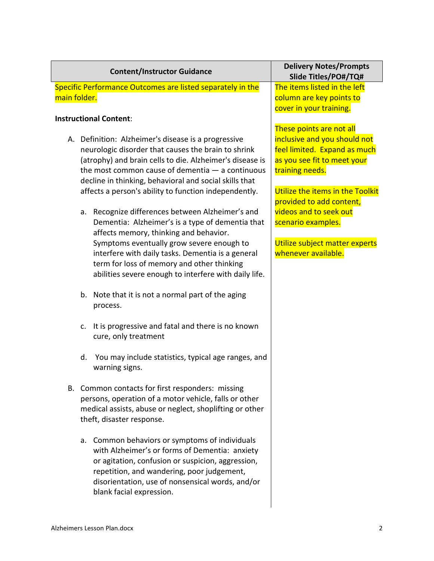|              | <b>Content/Instructor Guidance</b>                                                                                                                                                                                                                                                                                                              | <b>Delivery Notes/Prompts</b><br>Slide Titles/PO#/TQ#                                                                                                                          |
|--------------|-------------------------------------------------------------------------------------------------------------------------------------------------------------------------------------------------------------------------------------------------------------------------------------------------------------------------------------------------|--------------------------------------------------------------------------------------------------------------------------------------------------------------------------------|
| main folder. | Specific Performance Outcomes are listed separately in the                                                                                                                                                                                                                                                                                      | The items listed in the left<br>column are key points to<br>cover in your training.                                                                                            |
|              | <b>Instructional Content:</b>                                                                                                                                                                                                                                                                                                                   | These points are not all                                                                                                                                                       |
|              | A. Definition: Alzheimer's disease is a progressive<br>neurologic disorder that causes the brain to shrink<br>(atrophy) and brain cells to die. Alzheimer's disease is<br>the most common cause of dementia $-$ a continuous<br>decline in thinking, behavioral and social skills that<br>affects a person's ability to function independently. | inclusive and you should not<br>feel limited. Expand as much<br>as you see fit to meet your<br>training needs.<br>Utilize the items in the Toolkit<br>provided to add content, |
|              | a. Recognize differences between Alzheimer's and<br>Dementia: Alzheimer's is a type of dementia that<br>affects memory, thinking and behavior.                                                                                                                                                                                                  | videos and to seek out<br>scenario examples.                                                                                                                                   |
|              | Symptoms eventually grow severe enough to<br>interfere with daily tasks. Dementia is a general<br>term for loss of memory and other thinking<br>abilities severe enough to interfere with daily life.                                                                                                                                           | Utilize subject matter experts<br>whenever available.                                                                                                                          |
|              | b. Note that it is not a normal part of the aging<br>process.                                                                                                                                                                                                                                                                                   |                                                                                                                                                                                |
|              | It is progressive and fatal and there is no known<br>$C_{\bullet}$<br>cure, only treatment                                                                                                                                                                                                                                                      |                                                                                                                                                                                |
|              | You may include statistics, typical age ranges, and<br>d.<br>warning signs.                                                                                                                                                                                                                                                                     |                                                                                                                                                                                |
|              | B. Common contacts for first responders: missing<br>persons, operation of a motor vehicle, falls or other<br>medical assists, abuse or neglect, shoplifting or other<br>theft, disaster response.                                                                                                                                               |                                                                                                                                                                                |
|              | a. Common behaviors or symptoms of individuals<br>with Alzheimer's or forms of Dementia: anxiety<br>or agitation, confusion or suspicion, aggression,<br>repetition, and wandering, poor judgement,<br>disorientation, use of nonsensical words, and/or<br>blank facial expression.                                                             |                                                                                                                                                                                |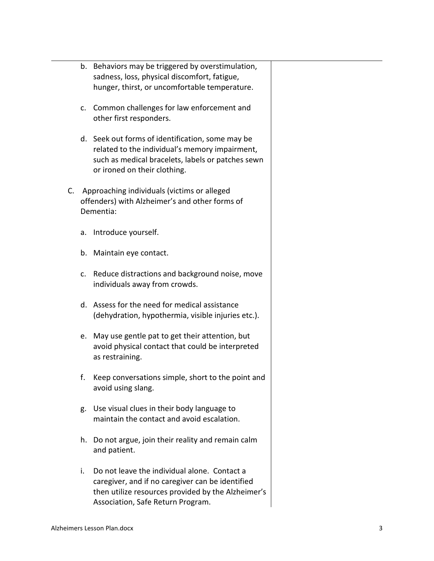|             |                                                                                                            | b. Behaviors may be triggered by overstimulation,<br>sadness, loss, physical discomfort, fatigue,                                                                                           |
|-------------|------------------------------------------------------------------------------------------------------------|---------------------------------------------------------------------------------------------------------------------------------------------------------------------------------------------|
|             |                                                                                                            | hunger, thirst, or uncomfortable temperature.                                                                                                                                               |
|             | c.                                                                                                         | Common challenges for law enforcement and<br>other first responders.                                                                                                                        |
|             |                                                                                                            | d. Seek out forms of identification, some may be<br>related to the individual's memory impairment,<br>such as medical bracelets, labels or patches sewn<br>or ironed on their clothing.     |
| $C_{\cdot}$ | Approaching individuals (victims or alleged<br>offenders) with Alzheimer's and other forms of<br>Dementia: |                                                                                                                                                                                             |
|             | a.                                                                                                         | Introduce yourself.                                                                                                                                                                         |
|             |                                                                                                            | b. Maintain eye contact.                                                                                                                                                                    |
|             |                                                                                                            | c. Reduce distractions and background noise, move<br>individuals away from crowds.                                                                                                          |
|             |                                                                                                            | d. Assess for the need for medical assistance<br>(dehydration, hypothermia, visible injuries etc.).                                                                                         |
|             | e.                                                                                                         | May use gentle pat to get their attention, but<br>avoid physical contact that could be interpreted<br>as restraining.                                                                       |
|             | f.                                                                                                         | Keep conversations simple, short to the point and<br>avoid using slang.                                                                                                                     |
|             | g.                                                                                                         | Use visual clues in their body language to<br>maintain the contact and avoid escalation.                                                                                                    |
|             |                                                                                                            | h. Do not argue, join their reality and remain calm<br>and patient.                                                                                                                         |
|             | i.                                                                                                         | Do not leave the individual alone. Contact a<br>caregiver, and if no caregiver can be identified<br>then utilize resources provided by the Alzheimer's<br>Association, Safe Return Program. |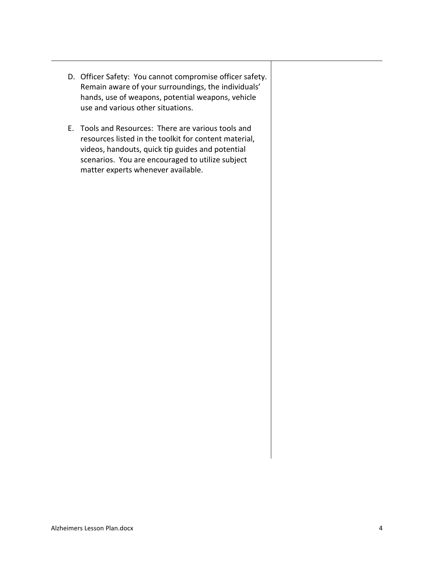- D. Officer Safety: You cannot compromise officer safety. Remain aware of your surroundings, the individuals' hands, use of weapons, potential weapons, vehicle use and various other situations.
- E. Tools and Resources: There are various tools and resources listed in the toolkit for content material, videos, handouts, quick tip guides and potential scenarios. You are encouraged to utilize subject matter experts whenever available.